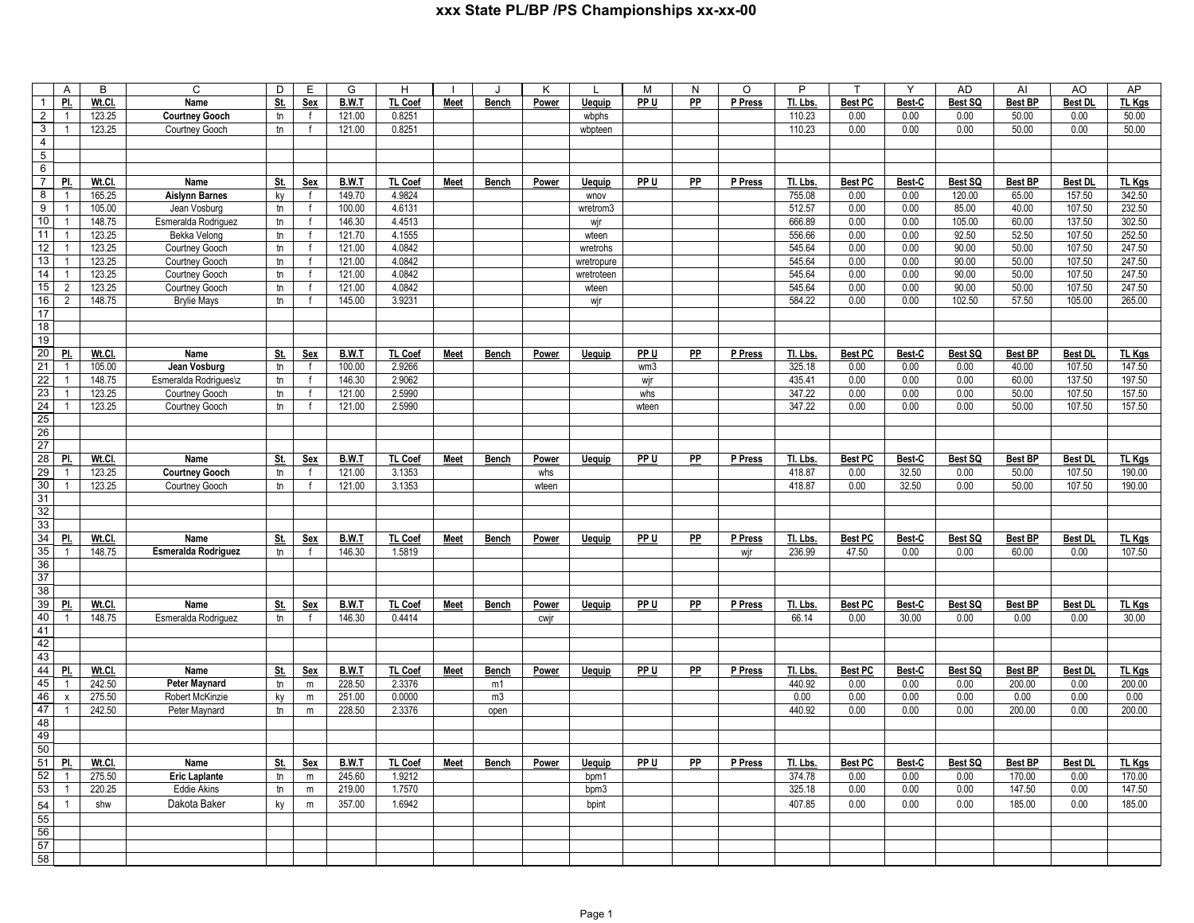|                                   | A                     | B                | C                             | D              | E                      | G                      | H                 |             | J            | K     | L                     | M     | N               | $\circ$ | P                 | $\mathsf T$            | Y              | <b>AD</b>         | AI                       | AO                       | AP                      |
|-----------------------------------|-----------------------|------------------|-------------------------------|----------------|------------------------|------------------------|-------------------|-------------|--------------|-------|-----------------------|-------|-----------------|---------|-------------------|------------------------|----------------|-------------------|--------------------------|--------------------------|-------------------------|
| $\mathbf{1}$                      | PI.                   | Wt.Cl.           | Name                          | St.            | Sex                    | B.W.T                  | TL Coef           | Meet        | <b>Bench</b> | Power | <b>Uequip</b>         | PP U  | $\overline{PP}$ | P Press | Tl. Lbs           | <b>Best PC</b>         | Best-C         | Best SQ           | <b>Best BP</b>           | <b>Best DL</b>           | TL Kgs                  |
| $\overline{2}$                    | $\overline{1}$        | 123.25           | Courtney Gooch                | tn             | f                      | 121.00                 | 0.8251            |             |              |       | wbphs                 |       |                 |         | 110.23            | 0.00                   | 0.00           | 0.00              | 50.00                    | 0.00                     | 50.00                   |
| دی                                | $\overline{1}$        | 123.25           | Courtney Gooch                | $t$ n          |                        | 121.00                 | 0.8251            |             |              |       | wbpteen               |       |                 |         | 110.23            | 0.00                   | 0.00           | 0.00              | 50.00                    | 0.00                     | 50.00                   |
| $\overline{4}$                    |                       |                  |                               |                |                        |                        |                   |             |              |       |                       |       |                 |         |                   |                        |                |                   |                          |                          |                         |
| $\overline{5}$                    |                       |                  |                               |                |                        |                        |                   |             |              |       |                       |       |                 |         |                   |                        |                |                   |                          |                          |                         |
| $6\overline{6}$<br>$\overline{7}$ |                       |                  |                               |                |                        |                        |                   |             |              |       |                       |       |                 |         |                   |                        |                |                   |                          |                          |                         |
| 8                                 | PL<br>$\overline{1}$  | Wt.Cl.<br>165.25 | Name<br><b>Aislynn Barnes</b> | <u>St.</u>     | <b>Sex</b><br>f        | <b>B.W.T</b><br>149.70 | TL Coef<br>4.9824 | <b>Meet</b> | <b>Bench</b> | Power | <u>Uequip</u><br>wnov | PP U  | PP              | P Press | Tl. Lbs<br>755.08 | <b>Best PC</b><br>0.00 | Best-C<br>0.00 | Best SQ<br>120.00 | <b>Best BP</b><br>65.00  | <b>Best DL</b><br>157.50 | <b>TL Kgs</b><br>342.50 |
| $\overline{9}$                    | $\mathbf{1}$          | 105.00           | Jean Vosburg                  | ky<br>$t$ n    | $\mathsf{f}$           | 100.00                 | 4.6131            |             |              |       | wretrom3              |       |                 |         | 512.57            | 0.00                   | 0.00           | 85.00             | 40.00                    | 107.50                   | 232.50                  |
| 10                                | $\overline{1}$        | 148.75           | Esmeralda Rodriguez           | $t$ n          | $\mathsf{f}$           | 146.30                 | 4.4513            |             |              |       | wjr                   |       |                 |         | 666.89            | 0.00                   | 0.00           | 105.00            | 60.00                    | 137.50                   | 302.50                  |
| 11                                | $\overline{1}$        | 123.25           | Bekka Velong                  | tn             | f                      | 121.70                 | 4.1555            |             |              |       | wteen                 |       |                 |         | 556.66            | 0.00                   | 0.00           | 92.50             | 52.50                    | 107.50                   | 252.50                  |
| $\overline{12}$                   | $\overline{1}$        | 123.25           | Courtney Gooch                | $t$ n          | $\mathsf{f}$           | 121.00                 | 4.0842            |             |              |       | wretrohs              |       |                 |         | 545.64            | 0.00                   | 0.00           | 90.00             | 50.00                    | 107.50                   | 247.50                  |
| 13                                | $\overline{1}$        | 123.25           | Courtney Gooch                | $t$ n          | $\mathsf{f}$           | 121.00                 | 4.0842            |             |              |       | wretropure            |       |                 |         | 545.64            | 0.00                   | 0.00           | 90.00             | 50.00                    | 107.50                   | 247.50                  |
| 14                                | $\overline{1}$        | 123.25           | Courtney Gooch                | tn             | $\mathsf{f}$           | 121.00                 | 4.0842            |             |              |       | wretroteen            |       |                 |         | 545.64            | 0.00                   | 0.00           | 90.00             | 50.00                    | 107.50                   | 247.50                  |
| 15                                | $\overline{2}$        | 123.25           | Courtney Gooch                | $t$ n          | $\mathsf{f}$           | 121.00                 | 4.0842            |             |              |       | wteen                 |       |                 |         | 545.64            | 0.00                   | 0.00           | 90.00             | 50.00                    | 107.50                   | 247.50                  |
| 16                                | $\overline{2}$        | 148.75           | <b>Brylie Mays</b>            | $t$ n          | $\mathsf{f}$           | 145.00                 | 3.9231            |             |              |       | wjr                   |       |                 |         | 584.22            | 0.00                   | 0.00           | 102.50            | 57.50                    | 105.00                   | 265.00                  |
| 17                                |                       |                  |                               |                |                        |                        |                   |             |              |       |                       |       |                 |         |                   |                        |                |                   |                          |                          |                         |
| 18                                |                       |                  |                               |                |                        |                        |                   |             |              |       |                       |       |                 |         |                   |                        |                |                   |                          |                          |                         |
| 19                                |                       |                  |                               |                |                        |                        |                   |             |              |       |                       |       |                 |         |                   |                        |                |                   |                          |                          |                         |
| 20                                | PL                    | Wt.Cl.           | Name                          | <u>St.</u>     | Sex                    | B.W.T                  | TL Coef           | Meet        | Bench        | Power | <b>Uequip</b>         | PP U  | PP              | P Press | Tl. Lbs           | Best PC                | Best-C         | Best SQ           | <b>Best BP</b>           | <b>Best DL</b>           | TL Kgs                  |
| 21                                | $\overline{1}$        | 105.00           | Jean Vosburg                  | $t$ n          | $\mathsf{f}$           | 100.00                 | 2.9266            |             |              |       |                       | wm3   |                 |         | 325.18            | 0.00                   | 0.00           | 0.00              | 40.00                    | 107.50                   | 147.50                  |
| $\overline{22}$                   | $\overline{1}$        | 148.75           | Esmeralda Rodrigues\z         | t <sub>n</sub> | $\mathsf{f}$           | 146.30                 | 2.9062            |             |              |       |                       | wjr   |                 |         | 435.41            | 0.00                   | 0.00           | 0.00              | 60.00                    | 137.50                   | 197.50                  |
| 23                                | $\overline{1}$        | 123.25           | Courtney Gooch                | $t$ n          | f                      | 121.00                 | 2.5990            |             |              |       |                       | whs   |                 |         | 347.22            | 0.00                   | 0.00           | 0.00              | 50.00                    | 107.50                   | 157.50                  |
| 24                                | $\overline{1}$        | 123.25           | Courtney Gooch                | tn             | $\mathsf{f}$           | 121.00                 | 2.5990            |             |              |       |                       | wteen |                 |         | 347.22            | 0.00                   | 0.00           | 0.00              | 50.00                    | 107.50                   | 157.50                  |
| 25                                |                       |                  |                               |                |                        |                        |                   |             |              |       |                       |       |                 |         |                   |                        |                |                   |                          |                          |                         |
| 26<br>27                          |                       |                  |                               |                |                        |                        |                   |             |              |       |                       |       |                 |         |                   |                        |                |                   |                          |                          |                         |
| 28                                | PI.                   | Wt.Cl.           | Name                          | <u>St.</u>     | Sex                    | B.W.T                  | TL Coef           | Meet        | Bench        | Power | Uequip                | PP U  | PP              | P Press | TI. Lbs.          | <b>Best PC</b>         | Best-C         | Best SQ           | <b>Best BP</b>           | <b>Best DL</b>           | TL Kgs                  |
| 29                                | $\overline{1}$        | 123.25           | <b>Courtney Gooch</b>         | $t$ n          | f                      | 121.00                 | 3.1353            |             |              | whs   |                       |       |                 |         | 418.87            | 0.00                   | 32.50          | 0.00              | 50.00                    | 107.50                   | 190.00                  |
| 30                                | $\overline{1}$        | 123.25           | Courtney Gooch                | tn             | $\mathsf{f}$           | 121.00                 | 3.1353            |             |              | wteen |                       |       |                 |         | 418.87            | 0.00                   | 32.50          | 0.00              | 50.00                    | 107.50                   | 190.00                  |
| 31                                |                       |                  |                               |                |                        |                        |                   |             |              |       |                       |       |                 |         |                   |                        |                |                   |                          |                          |                         |
| 32                                |                       |                  |                               |                |                        |                        |                   |             |              |       |                       |       |                 |         |                   |                        |                |                   |                          |                          |                         |
| 33                                |                       |                  |                               |                |                        |                        |                   |             |              |       |                       |       |                 |         |                   |                        |                |                   |                          |                          |                         |
| 34                                | PI.                   | Wt.Cl.           | Name                          | <u>St.</u>     | Sex                    | B.W.T                  | <b>TL Coef</b>    | Meet        | <b>Bench</b> | Power | Uequip                | PP U  | PP              | P Press | TI. Lbs           | <b>Best PC</b>         | Best-C         | Best SQ           | <b>Best BP</b>           | <b>Best DL</b>           | TL Kgs                  |
| 35                                | $\overline{1}$        | 148.75           | Esmeralda Rodriguez           | $t_{\rm n}$    | $\mathsf{f}$           | 146.30                 | 1.5819            |             |              |       |                       |       |                 | wir     | 236.99            | 47.50                  | 0.00           | 0.00              | 60.00                    | 0.00                     | 107.50                  |
| 36                                |                       |                  |                               |                |                        |                        |                   |             |              |       |                       |       |                 |         |                   |                        |                |                   |                          |                          |                         |
| 37                                |                       |                  |                               |                |                        |                        |                   |             |              |       |                       |       |                 |         |                   |                        |                |                   |                          |                          |                         |
| 38                                |                       |                  |                               |                |                        |                        |                   |             |              |       |                       |       |                 |         |                   |                        |                |                   |                          |                          |                         |
| 39                                | PI.                   | Wt.Cl.           | Name                          | St.            | Sex                    | B.W.T                  | TL Coef           | Meet        | Bench        | Power | <b>Uequip</b>         | PP U  | PP              | P Press | TI. Lbs           | Best PC                | Best-C         | Best SQ           | <b>Best BP</b>           | Best DL                  | TL Kgs                  |
| 40                                | $\overline{1}$        | 148.75           | Esmeralda Rodriguez           | tn             | f                      | 146.30                 | 0.4414            |             |              | cwjr  |                       |       |                 |         | 66.14             | 0.00                   | 30.00          | 0.00              | 0.00                     | 0.00                     | 30.00                   |
| 41                                |                       |                  |                               |                |                        |                        |                   |             |              |       |                       |       |                 |         |                   |                        |                |                   |                          |                          |                         |
| 42                                |                       |                  |                               |                |                        |                        |                   |             |              |       |                       |       |                 |         |                   |                        |                |                   |                          |                          |                         |
| 43                                |                       |                  |                               |                |                        |                        |                   |             |              |       |                       |       |                 |         |                   |                        |                |                   |                          |                          |                         |
| 44<br>45                          | PI.<br>$\overline{1}$ | Wt.Cl.<br>242.50 | Name<br><b>Peter Maynard</b>  | St.            | Sex                    | B.W.T                  | TL Coef<br>2.3376 | Meet        | Bench        | Power | Uequip                | PP U  | PP              | P Press | TI. Lbs<br>440.92 | <b>Best PC</b><br>0.00 | Best-C<br>0.00 | Best SQ           | <b>Best BP</b><br>200.00 | <b>Best DL</b><br>0.00   | TL Kgs                  |
| 46                                | $\pmb{\mathsf{x}}$    | 275.50           | Robert McKinzie               | $t$ n          | ${\sf m}$<br>${\sf m}$ | 228.50<br>251.00       | 0.0000            |             | m1<br>m3     |       |                       |       |                 |         | 0.00              | 0.00                   | 0.00           | 0.00<br>0.00      | 0.00                     | 0.00                     | 200.00<br>0.00          |
| 47                                | $\overline{1}$        | 242.50           | Peter Maynard                 | ky<br>$t$ n    | m                      | 228.50                 | 2.3376            |             | open         |       |                       |       |                 |         | 440.92            | 0.00                   | 0.00           | 0.00              | 200.00                   | 0.00                     | 200.00                  |
| 48                                |                       |                  |                               |                |                        |                        |                   |             |              |       |                       |       |                 |         |                   |                        |                |                   |                          |                          |                         |
| 49                                |                       |                  |                               |                |                        |                        |                   |             |              |       |                       |       |                 |         |                   |                        |                |                   |                          |                          |                         |
| 50                                |                       |                  |                               |                |                        |                        |                   |             |              |       |                       |       |                 |         |                   |                        |                |                   |                          |                          |                         |
| 51                                | PI.                   | Wt.Cl.           | Name                          | St.            | Sex                    | B.W.T                  | TL Coef           | Meet        | Bench        | Power | <b>Uequip</b>         | PP U  | PP              | P Press | Tl. Lbs.          | <b>Best PC</b>         | Best-C         | Best SQ           | <b>Best BP</b>           | <b>Best DL</b>           | TL Kgs                  |
| 52                                | $\overline{1}$        | 275.50           | <b>Eric Laplante</b>          | tn             | m                      | 245.60                 | 1.9212            |             |              |       | bpm1                  |       |                 |         | 374.78            | 0.00                   | 0.00           | 0.00              | 170.00                   | 0.00                     | 170.00                  |
| 53                                | $\overline{1}$        | 220.25           | <b>Eddie Akins</b>            | tn             | m                      | 219.00                 | 1.7570            |             |              |       | bpm3                  |       |                 |         | 325.18            | 0.00                   | 0.00           | 0.00              | 147.50                   | 0.00                     | 147.50                  |
| 54                                |                       | shw              | Dakota Baker                  | ky             | ${\sf m}$              | 357.00                 | 1.6942            |             |              |       | bpint                 |       |                 |         | 407.85            | 0.00                   | 0.00           | 0.00              | 185.00                   | 0.00                     | 185.00                  |
| 55                                |                       |                  |                               |                |                        |                        |                   |             |              |       |                       |       |                 |         |                   |                        |                |                   |                          |                          |                         |
| 56                                |                       |                  |                               |                |                        |                        |                   |             |              |       |                       |       |                 |         |                   |                        |                |                   |                          |                          |                         |
| 57                                |                       |                  |                               |                |                        |                        |                   |             |              |       |                       |       |                 |         |                   |                        |                |                   |                          |                          |                         |
| 58                                |                       |                  |                               |                |                        |                        |                   |             |              |       |                       |       |                 |         |                   |                        |                |                   |                          |                          |                         |
|                                   |                       |                  |                               |                |                        |                        |                   |             |              |       |                       |       |                 |         |                   |                        |                |                   |                          |                          |                         |